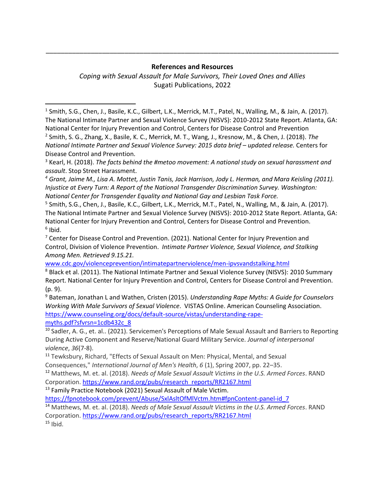\_\_\_\_\_\_\_\_\_\_\_\_\_\_\_\_\_\_\_\_\_\_\_\_\_\_\_\_\_\_\_\_\_\_\_\_\_\_\_\_\_\_\_\_\_\_\_\_\_\_\_\_\_\_\_\_\_\_\_\_\_\_\_\_\_\_\_\_\_\_\_\_\_\_\_\_\_\_

*Coping with Sexual Assault for Male Survivors, Their Loved Ones and Allies* Sugati Publications, 2022

<sup>1</sup> Smith, S.G., Chen, J., Basile, K.C., Gilbert, L.K., Merrick, M.T., Patel, N., Walling, M., & Jain, A. (2017). The National Intimate Partner and Sexual Violence Survey (NISVS): 2010-2012 State Report. Atlanta, GA: National Center for Injury Prevention and Control, Centers for Disease Control and Prevention 2 Smith, S. G., Zhang, X., Basile, K. C., Merrick, M. T., Wang, J., Kresnow, M., & Chen, J. (2018). *The National Intimate Partner and Sexual Violence Survey: 2015 data brief - updated release. Centers for* Disease Control and Prevention.

<sup>3</sup> Kearl, H. (2018). *The facts behind the #metoo movement: A national study on sexual harassment and assault*. Stop Street Harassment.

*<sup>4</sup> Grant, Jaime M., Lisa A. Mottet, Justin Tanis, Jack Harrison, Jody L. Herman, and Mara Keisling (2011). Injustice at Every Turn: A Report of the National Transgender Discrimination Survey. Washington: National Center for Transgender Equality and National Gay and Lesbian Task Force.*

5 Smith, S.G., Chen, J., Basile, K.C., Gilbert, L.K., Merrick, M.T., Patel, N., Walling, M., & Jain, A. (2017). The National Intimate Partner and Sexual Violence Survey (NISVS): 2010-2012 State Report. Atlanta, GA: National Center for Injury Prevention and Control, Centers for Disease Control and Prevention. 6 Ibid.

<sup>7</sup> Center for Disease Control and Prevention. (2021). National Center for Injury Prevention and Control, [Division of Violence Prevention.](https://www.cdc.gov/violencePrevention/index.html) *Intimate Partner Violence, Sexual Violence, and Stalking Among Men. Retrieved 9.15.21.* 

[www.cdc.gov/violenceprevention/intimatepartnerviolence/men-ipvsvandstalking.html](http://www.cdc.gov/violenceprevention/intimatepartnerviolence/men-ipvsvandstalking.html)

<sup>8</sup> Black et al. (2011). The National Intimate Partner and Sexual Violence Survey (NISVS): 2010 Summary Report. National Center for Injury Prevention and Control, Centers for Disease Control and Prevention. (p. 9).

<sup>9</sup> Bateman, Jonathan L and Wathen, Cristen (2015). *Understanding Rape Myths: A Guide for Counselors Working With Male Survivors of Sexual Violence*. VISTAS Online. American Counseling Association. [https://www.counseling.org/docs/default-source/vistas/understanding-rape](https://www.counseling.org/docs/default-source/vistas/understanding-rape-myths.pdf?sfvrsn=1cdb432c_8)[myths.pdf?sfvrsn=1cdb432c\\_8](https://www.counseling.org/docs/default-source/vistas/understanding-rape-myths.pdf?sfvrsn=1cdb432c_8)

<sup>10</sup> Sadler, A. G., et. al.. (2021). Servicemen's Perceptions of Male Sexual Assault and Barriers to Reporting During Active Component and Reserve/National Guard Military Service. *Journal of interpersonal violence*, *36*(7-8).

<sup>11</sup> Tewksbury, Richard, "Effects of Sexual Assault on Men: Physical, Mental, and Sexual Consequences," *International Journal of Men's Health*, *6* (1), Spring 2007, pp. 22–35.

<sup>12</sup> Matthews, M. et. al. (2018). *Needs of Male Sexual Assault Victims in the U.S. Armed Forces*. RAND Corporation. [https://www.rand.org/pubs/research\\_reports/RR2167.html](https://www.rand.org/pubs/research_reports/RR2167.html)

<sup>13</sup> Family Practice Notebook (2021) Sexual Assault of Male Victim.

[https://fpnotebook.com/prevent/Abuse/SxlAsltOfMlVctm.htm#fpnContent-panel-id\\_7](https://fpnotebook.com/prevent/Abuse/SxlAsltOfMlVctm.htm#fpnContent-panel-id_7)

<sup>14</sup> Matthews, M. et. al. (2018). *Needs of Male Sexual Assault Victims in the U.S. Armed Forces*. RAND Corporation. [https://www.rand.org/pubs/research\\_reports/RR2167.html](https://www.rand.org/pubs/research_reports/RR2167.html)  $15$  Ibid.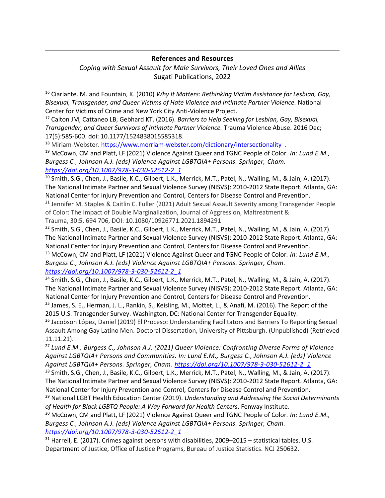*Coping with Sexual Assault for Male Survivors, Their Loved Ones and Allies* Sugati Publications, 2022

<sup>16</sup> Ciarlante. M. and Fountain, K. (2010) *Why It Matters: Rethinking Victim Assistance for Lesbian, Gay, Bisexual, Transgender, and Queer Victims of Hate Violence and Intimate Partner Violence.* National Center for Victims of Crime and New York City Anti-Violence Project.

<sup>17</sup> Calton JM, Cattaneo LB, Gebhard KT. (2016). *Barriers to Help Seeking for Lesbian, Gay, Bisexual, Transgender, and Queer Survivors of Intimate Partner Violence.* Trauma Violence Abuse. 2016 Dec; 17(5):585-600. doi: 10.1177/1524838015585318.

<sup>18</sup> Miriam-Webster.<https://www.merriam-webster.com/dictionary/intersectionality> .

<sup>19</sup> McCown, CM and Platt, LF (2021) Violence Against Queer and TGNC People of Color*. In: Lund E.M., Burgess C., Johnson A.J. (eds) Violence Against LGBTQIA+ Persons. Springer, Cham. [https://doi.org/10.1007/978-3-030-52612-2\\_1](https://doi.org/10.1007/978-3-030-52612-2_1)*

 $^{20}$  Smith, S.G., Chen, J., Basile, K.C., Gilbert, L.K., Merrick, M.T., Patel, N., Walling, M., & Jain, A. (2017). The National Intimate Partner and Sexual Violence Survey (NISVS): 2010-2012 State Report. Atlanta, GA: National Center for Injury Prevention and Control, Centers for Disease Control and Prevention. <sup>21</sup> Jennifer M. Staples & Caitlin C. Fuller (2021) Adult Sexual Assault Severity among Transgender People of Color: The Impact of Double Marginalization, Journal of Aggression, Maltreatment &

Trauma, 30:5, 694 706, DOI: [10.1080/10926771.2021.1894291](https://doi.org/10.1080/10926771.2021.1894291)

 $22$  Smith, S.G., Chen, J., Basile, K.C., Gilbert, L.K., Merrick, M.T., Patel, N., Walling, M., & Jain, A. (2017). The National Intimate Partner and Sexual Violence Survey (NISVS): 2010-2012 State Report. Atlanta, GA: National Center for Injury Prevention and Control, Centers for Disease Control and Prevention.

<sup>23</sup> McCown, CM and Platt, LF (2021) Violence Against Queer and TGNC People of Color*. In: Lund E.M., Burgess C., Johnson A.J. (eds) Violence Against LGBTQIA+ Persons. Springer, Cham. [https://doi.org/10.1007/978-3-030-52612-2\\_1](https://doi.org/10.1007/978-3-030-52612-2_1)*

<sup>24</sup> Smith, S.G., Chen, J., Basile, K.C., Gilbert, L.K., Merrick, M.T., Patel, N., Walling, M., & Jain, A. (2017). The National Intimate Partner and Sexual Violence Survey (NISVS): 2010-2012 State Report. Atlanta, GA: National Center for Injury Prevention and Control, Centers for Disease Control and Prevention.

 $25$  James, S. E., Herman, J. L., Rankin, S., Keisling, M., Mottet, L., & Anafi, M. (2016). The Report of the 2015 U.S. Transgender Survey. Washington, DC: National Center for Transgender Equality.

<sup>26</sup> Jacobson López, Daniel (2019) El Proceso: Understanding Facilitators and Barriers To Reporting Sexual Assault Among Gay Latino Men. Doctoral Dissertation, University of Pittsburgh. (Unpublished) (Retrieved 11.11.21).

<sup>27</sup> *Lund E.M., Burgess C., Johnson A.J. (2021) Queer Violence: Confronting Diverse Forms of Violence Against LGBTQIA+ Persons and Communities. In: Lund E.M., Burgess C., Johnson A.J. (eds) Violence Against LGBTQIA+ Persons. Springer, Cham. [https://doi.org/10.1007/978-3-030-52612-2\\_1](https://doi.org/10.1007/978-3-030-52612-2_1)*

<sup>28</sup> Smith, S.G., Chen, J., Basile, K.C., Gilbert, L.K., Merrick, M.T., Patel, N., Walling, M., & Jain, A. (2017). The National Intimate Partner and Sexual Violence Survey (NISVS): 2010-2012 State Report. Atlanta, GA: National Center for Injury Prevention and Control, Centers for Disease Control and Prevention.

<sup>29</sup> National LGBT Health Education Center (2019). *Understanding and Addressing the Social Determinants of Health for Black LGBTQ People: A Way Forward for Health Centers*. Fenway Institute.

<sup>30</sup> McCown, CM and Platt, LF (2021) Violence Against Queer and TGNC People of Color. In: Lund E.M., *Burgess C., Johnson A.J. (eds) Violence Against LGBTQIA+ Persons. Springer, Cham. [https://doi.org/10.1007/978-3-030-52612-2\\_1](https://doi.org/10.1007/978-3-030-52612-2_1)*

<sup>31</sup> Harrell, E. (2017). Crimes against persons with disabilities, 2009–2015 – statistical tables. U.S. Department of Justice, Office of Justice Programs, Bureau of Justice Statistics. NCJ 250632.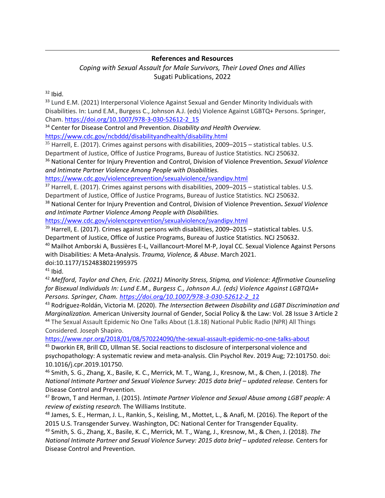#### *Coping with Sexual Assault for Male Survivors, Their Loved Ones and Allies* Sugati Publications, 2022

 $32$  Ibid.

<sup>33</sup> Lund E.M. (2021) Interpersonal Violence Against Sexual and Gender Minority Individuals with Disabilities. In: Lund E.M., Burgess C., Johnson A.J. (eds) Violence Against LGBTQ+ Persons. Springer, Cham. [https://doi.org/10.1007/978-3-030-52612-2\\_15](https://doi.org/10.1007/978-3-030-52612-2_15)

<sup>34</sup> Center for Disease Control and Prevention. *Disability and Health Overview.* <https://www.cdc.gov/ncbddd/disabilityandhealth/disability.html>

<sup>35</sup> Harrell, E. (2017). Crimes against persons with disabilities, 2009–2015 – statistical tables. U.S. Department of Justice, Office of Justice Programs, Bureau of Justice Statistics. NCJ 250632.

<sup>36</sup> National Center for Injury Prevention and Control, [Division of Violence Prevention](https://www.cdc.gov/violencePrevention/index.html)**.** *Sexual Violence and Intimate Partner Violence Among People with Disabilities.* 

<https://www.cdc.gov/violenceprevention/sexualviolence/svandipv.html>

<sup>37</sup> Harrell, E. (2017). Crimes against persons with disabilities, 2009–2015 – statistical tables. U.S. Department of Justice, Office of Justice Programs, Bureau of Justice Statistics. NCJ 250632.

<sup>38</sup> National Center for Injury Prevention and Control, [Division of Violence Prevention](https://www.cdc.gov/violencePrevention/index.html)**.** *Sexual Violence and Intimate Partner Violence Among People with Disabilities.*

<https://www.cdc.gov/violenceprevention/sexualviolence/svandipv.html>

 $39$  Harrell, E. (2017). Crimes against persons with disabilities, 2009–2015 – statistical tables. U.S. Department of Justice, Office of Justice Programs, Bureau of Justice Statistics. NCJ 250632.

<sup>40</sup> Mailhot Amborski A, Bussières E-L, Vaillancourt-Morel M-P, Joyal CC. Sexual Violence Against Persons with Disabilities: A Meta-Analysis. *Trauma, Violence, & Abuse*. March 2021.

doi:10.1177/1524838021995975

 $41$  Ibid.

<sup>42</sup> *Mefford, Taylor and Chen, Eric. (2021) Minority Stress, Stigma, and Violence: Affirmative Counseling for Bisexual Individuals In: Lund E.M., Burgess C., Johnson A.J. (eds) Violence Against LGBTQIA+ Persons. Springer, Cham. [https://doi.org/10.1007/978-3-030-52612-2\\_1](https://doi.org/10.1007/978-3-030-52612-2_12)*2

<sup>43</sup> Rodríguez-Roldán, Victoria M. (2020). *The Intersection Between Disability and LGBT Discrimination and Marginalization.* American University Journal of Gender, Social Policy & the Law: Vol. 28 Issue 3 Article 2

<sup>44</sup> The Sexual Assault Epidemic No One Talks About (1.8.18) National Public Radio (NPR) All Things Considered. Joseph Shapiro.

<https://www.npr.org/2018/01/08/570224090/the-sexual-assault-epidemic-no-one-talks-about>

<sup>45</sup> Dworkin ER, Brill CD, Ullman SE. Social reactions to disclosure of interpersonal violence and psychopathology: A systematic review and meta-analysis. Clin Psychol Rev. 2019 Aug; 72:101750. doi: 10.1016/j.cpr.2019.101750.

<sup>46</sup> Smith, S. G., Zhang, X., Basile, K. C., Merrick, M. T., Wang, J., Kresnow, M., & Chen, J. (2018). *The National Intimate Partner and Sexual Violence Survey: 2015 data brief – updated release.* Centers for Disease Control and Prevention.

<sup>47</sup> Brown, T and Herman, J. (2015). *Intimate Partner Violence and Sexual Abuse among LGBT people: A review of existing research.* The Williams Institute.

48 James, S. E., Herman, J. L., Rankin, S., Keisling, M., Mottet, L., & Anafi, M. (2016). The Report of the 2015 U.S. Transgender Survey. Washington, DC: National Center for Transgender Equality.

<sup>49</sup> Smith, S. G., Zhang, X., Basile, K. C., Merrick, M. T., Wang, J., Kresnow, M., & Chen, J. (2018). *The National Intimate Partner and Sexual Violence Survey: 2015 data brief – updated release.* Centers for Disease Control and Prevention.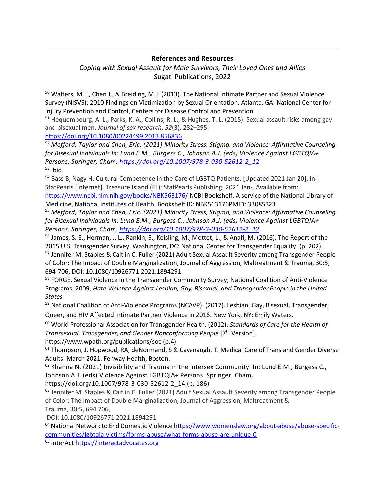*Coping with Sexual Assault for Male Survivors, Their Loved Ones and Allies* Sugati Publications, 2022

<sup>50</sup> Walters, M.L., Chen J., & Breiding, M.J. (2013). The National Intimate Partner and Sexual Violence Survey (NISVS): 2010 Findings on Victimization by Sexual Orientation. Atlanta, GA: National Center for Injury Prevention and Control, Centers for Disease Control and Prevention.

<sup>51</sup> Hequembourg, A. L., Parks, K. A., Collins, R. L., & Hughes, T. L. (2015). Sexual assault risks among gay and bisexual men. *Journal of sex research*, *52*(3), 282–295.

<https://doi.org/10.1080/00224499.2013.856836>

<sup>52</sup> *Mefford, Taylor and Chen, Eric. (2021) Minority Stress, Stigma, and Violence: Affirmative Counseling for Bisexual Individuals In: Lund E.M., Burgess C., Johnson A.J. (eds) Violence Against LGBTQIA+ Persons. Springer, Cham. [https://doi.org/10.1007/978-3-030-52612-2\\_1](https://doi.org/10.1007/978-3-030-52612-2_12)*2  $53$  Ibid.

<sup>54</sup> Bass B, Nagy H. Cultural Competence in the Care of LGBTQ Patients. [Updated 2021 Jan 20]. In: StatPearls [Internet]. Treasure Island (FL): StatPearls Publishing; 2021 Jan-. Available from: <https://www.ncbi.nlm.nih.gov/books/NBK563176/> NCBI Bookshelf. A service of the National Library of Medicine, National Institutes of Health. Bookshelf ID: NBK563176PMID: 33085323

<sup>55</sup> *Mefford, Taylor and Chen, Eric. (2021) Minority Stress, Stigma, and Violence: Affirmative Counseling for Bisexual Individuals In: Lund E.M., Burgess C., Johnson A.J. (eds) Violence Against LGBTQIA+ Persons. Springer, Cham. [https://doi.org/10.1007/978-3-030-52612-2\\_1](https://doi.org/10.1007/978-3-030-52612-2_12)*2

<sup>56</sup> James, S. E., Herman, J. L., Rankin, S., Keisling, M., Mottet, L., & Anafi, M. (2016). The Report of the 2015 U.S. Transgender Survey. Washington, DC: National Center for Transgender Equality. (p. 202).

<sup>57</sup> Jennifer M. Staples & Caitlin C. Fuller (2021) Adult Sexual Assault Severity among Transgender People of Color: The Impact of Double Marginalization, Journal of Aggression, Maltreatment & Trauma, 30:5, 694-706, DOI: 10.1080/10926771.2021.1894291

58 FORGE, Sexual Violence in the Transgender Community Survey; National Coalition of Anti-Violence Programs, 2009, *Hate Violence Against Lesbian, Gay, Bisexual, and Transgender People in the United States*

<sup>59</sup> National Coalition of Anti-Violence Programs (NCAVP). (2017). Lesbian, Gay, Bisexual, Transgender,

Queer, and HIV Affected Intimate Partner Violence in 2016. New York, NY: Emily Waters.

<sup>60</sup> World Professional Association for Transgender Health. (2012). *Standards of Care for the Health of Transsexual, Transgender, and Gender Nonconforming People* [7<sup>th</sup> Version].

https://www.wpath.org/publications/soc (p.4)

 $61$  Thompson, J, Hopwood, RA, deNormand, S & Cavanaugh, T. Medical Care of Trans and Gender Diverse Adults. March 2021. Fenway Health, Boston.

<sup>62</sup> Khanna N. (2021) Invisibility and Trauma in the Intersex Community. In: Lund E.M., Burgess C., Johnson A.J. (eds) Violence Against LGBTQIA+ Persons. Springer, Cham.

https://doi.org/10.1007/978-3-030-52612-2\_14 (p. 186)

<sup>63</sup> Jennifer M. Staples & Caitlin C. Fuller (2021) Adult Sexual Assault Severity among Transgender People of Color: The Impact of Double Marginalization, Journal of Aggression, Maltreatment & Trauma, 30:5, 694 706,

DOI: [10.1080/10926771.2021.1894291](https://doi.org/10.1080/10926771.2021.1894291)

<sup>64</sup> National Network to End Domestic Violenc[e https://www.womenslaw.org/about-abuse/abuse-specific](https://www.womenslaw.org/about-abuse/abuse-specific-communities/lgbtqia-victims/forms-abuse/what-forms-abuse-are-unique-0)[communities/lgbtqia-victims/forms-abuse/what-forms-abuse-are-unique-0](https://www.womenslaw.org/about-abuse/abuse-specific-communities/lgbtqia-victims/forms-abuse/what-forms-abuse-are-unique-0)

<sup>65</sup> interAct [https://interactadvocates.org](https://interactadvocates.org/)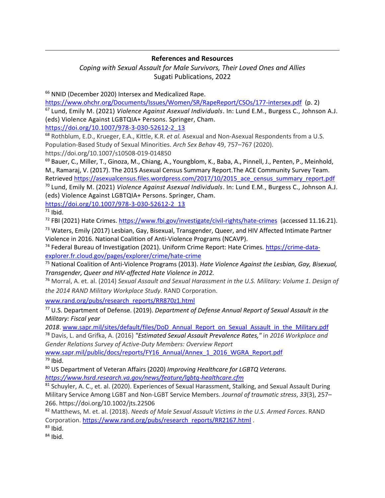*Coping with Sexual Assault for Male Survivors, Their Loved Ones and Allies* Sugati Publications, 2022

<sup>66</sup> NNID (December 2020) Intersex and Medicalized Rape.

<https://www.ohchr.org/Documents/Issues/Women/SR/RapeReport/CSOs/177-intersex.pdf> (p. 2) <sup>67</sup> Lund, Emily M. (2021) *Violence Against Asexual Individuals*. In: Lund E.M., Burgess C., Johnson A.J. (eds) Violence Against LGBTQIA+ Persons. Springer, Cham.

[https://doi.org/10.1007/978-3-030-52612-2\\_13](https://doi.org/10.1007/978-3-030-52612-2_13)

<sup>68</sup> Rothblum, E.D., Krueger, E.A., Kittle, K.R. *et al.* Asexual and Non-Asexual Respondents from a U.S. Population-Based Study of Sexual Minorities. *Arch Sex Behav* 49, 757–767 (2020). https://doi.org/10.1007/s10508-019-014850

<sup>69</sup> Bauer, C., Miller, T., Ginoza, M., Chiang, A., Youngblom, K., Baba, A., Pinnell, J., Penten, P., Meinhold, M., Ramaraj, V. (2017). The 2015 Asexual Census Summary Report.The ACE Community Survey Team. Retrieve[d https://asexualcensus.files.wordpress.com/2017/10/2015\\_ace\\_census\\_summary\\_report.pdf](https://asexualcensus.files.wordpress.com/2017/10/2015_ace_census_summary_report.pdf)

<sup>70</sup> Lund, Emily M. (2021) *Violence Against Asexual Individuals*. In: Lund E.M., Burgess C., Johnson A.J. (eds) Violence Against LGBTQIA+ Persons. Springer, Cham.

[https://doi.org/10.1007/978-3-030-52612-2\\_13](https://doi.org/10.1007/978-3-030-52612-2_13)

 $71$  Ibid.

<sup>72</sup> FBI (2021) Hate Crimes.<https://www.fbi.gov/investigate/civil-rights/hate-crimes> (accessed 11.16.21).

<sup>73</sup> Waters, Emily (2017) Lesbian, Gay, Bisexual, Transgender, Queer, and HIV Affected Intimate Partner Violence in 2016. National Coalition of Anti-Violence Programs (NCAVP).

<sup>74</sup> Federal Bureau of Investigation (2021). Uniform Crime Report: Hate Crimes[. https://crime-data](https://crime-data-explorer.fr.cloud.gov/pages/explorer/crime/hate-crime)[explorer.fr.cloud.gov/pages/explorer/crime/hate-crime](https://crime-data-explorer.fr.cloud.gov/pages/explorer/crime/hate-crime)

<sup>75</sup> National Coalition of Anti-Violence Programs (2013). *Hate Violence Against the Lesbian, Gay, Bisexual, Transgender, Queer and HIV-affected Hate Violence in 2012.*

<sup>76</sup> Morral, A. et. al. (2014) *Sexual Assault and Sexual Harassment in the U.S. Military: Volume 1. Design of the 2014 RAND Military Workplace Study*. RAND Corporation.

[www.rand.org/pubs/research\\_reports/RR870z1.html](http://www.rand.org/pubs/research_reports/RR870z1.html)

<sup>77</sup> U.S. Department of Defense. (2019). *Department of Defense Annual Report of Sexual Assault in the Military: Fiscal year*

*2018*. [www.sapr.mil/sites/default/files/DoD\\_Annual\\_Report\\_on\\_Sexual\\_Assault\\_in\\_the\\_Military.pdf](http://www.sapr.mil/sites/default/files/DoD_Annual_Report_on_Sexual_Assault_in_the_Military.pdf) <sup>78</sup> Davis, L. and Grifka, A. (2016) *"Estimated Sexual Assault Prevalence Rates,"* in *2016 Workplace and Gender Relations Survey of Active-Duty Members: Overview Report*

[www.sapr.mil/public/docs/reports/FY16\\_Annual/Annex\\_1\\_2016\\_WGRA\\_Report.pdf](http://www.sapr.mil/public/docs/reports/FY16_Annual/Annex_1_2016_WGRA_Report.pdf)  $79$  Ibid.

<sup>80</sup> US Department of Veteran Affairs (2020) *Improving Healthcare for LGBTQ Veterans. <https://www.hsrd.research.va.gov/news/feature/lgbtq-healthcare.cfm>*

81 Schuyler, A. C., et. al. (2020). Experiences of Sexual Harassment, Stalking, and Sexual Assault During Military Service Among LGBT and Non-LGBT Service Members. *Journal of traumatic stress*, *33*(3), 257– 266. https://doi.org/10.1002/jts.22506

<sup>82</sup> Matthews, M. et. al. (2018). *Needs of Male Sexual Assault Victims in the U.S. Armed Forces*. RAND Corporation. [https://www.rand.org/pubs/research\\_reports/RR2167.html](https://www.rand.org/pubs/research_reports/RR2167.html) .

 $83$  Ibid.

 $84$  Ibid.